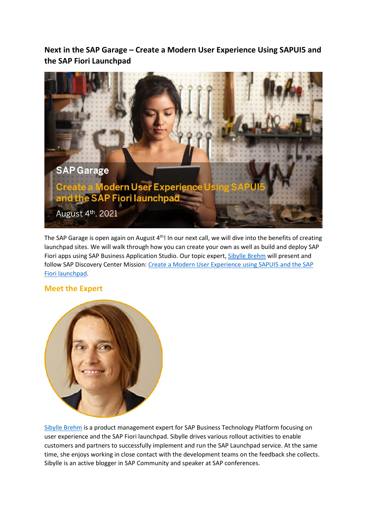**Next in the SAP Garage – Create a Modern User Experience Using SAPUI5 and the SAP Fiori Launchpad**



The SAP Garage is open again on August 4<sup>th</sup>! In our next call, we will dive into the benefits of creating launchpad sites. We will walk through how you can create your own as well as build and deploy SAP Fiori apps using SAP Business Application Studio. Our topic expert, [Sibylle Brehm](https://people.sap.com/sibylle.brehm) will present and follow SAP Discovery Center Mission[: Create a Modern User Experience using SAPUI5 and the SAP](https://discovery-center.cloud.sap/missiondetail/3234/3239/)  [Fiori launchpad.](https://discovery-center.cloud.sap/missiondetail/3234/3239/)

## **Meet the Expert**



[Sibylle Brehm](https://people.sap.com/sibylle.brehm) is a product management expert for SAP Business Technology Platform focusing on user experience and the SAP Fiori launchpad. Sibylle drives various rollout activities to enable customers and partners to successfully implement and run the SAP Launchpad service. At the same time, she enjoys working in close contact with the development teams on the feedback she collects. Sibylle is an active blogger in SAP Community and speaker at SAP conferences.